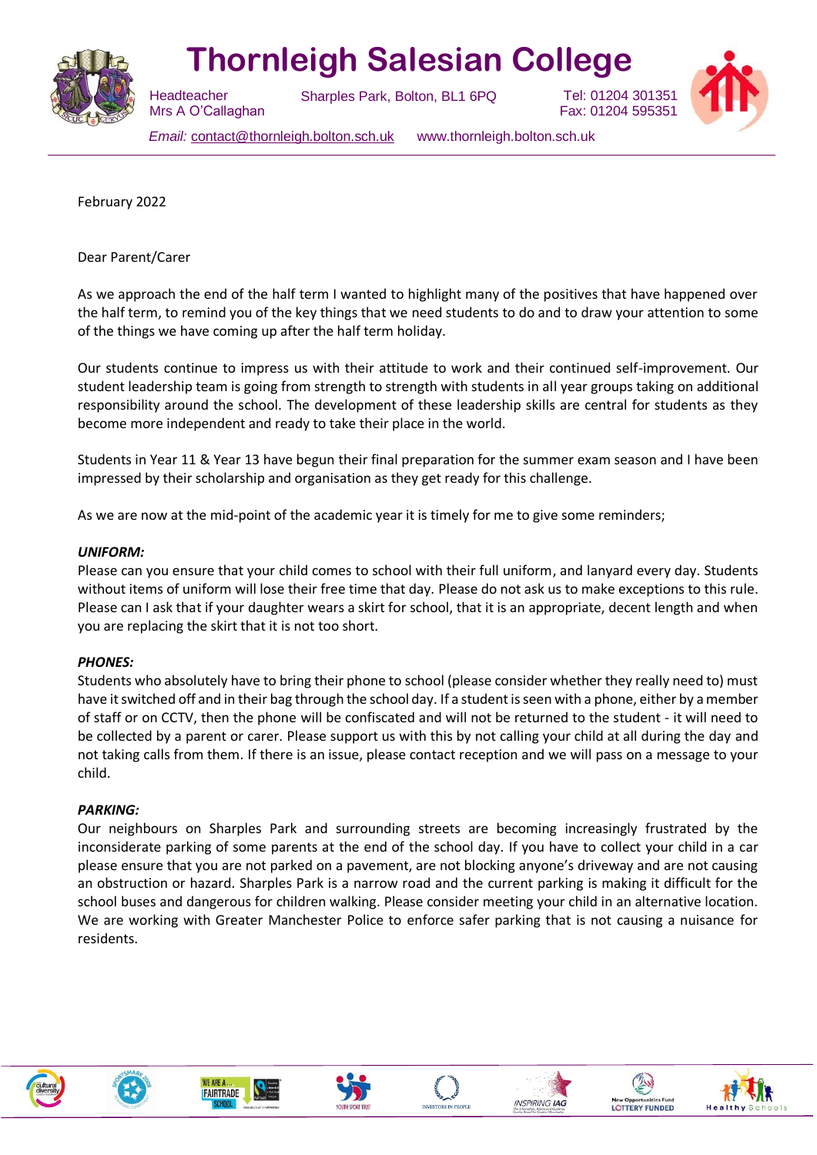

# **Thornleigh Salesian College**

Sharples Park, Bolton, BL1 6PQ



Tel: 01204 301351 Fax: 01204 595351

*Email:* [contact@thornleigh.bolton.sch.uk](mailto:contact@thornleigh.bolton.sch.uk) www.thornleigh.bolton.sch.uk

February 2022

Dear Parent/Carer

**Headteacher** 

 Mrs A O'Callaghan

As we approach the end of the half term I wanted to highlight many of the positives that have happened over the half term, to remind you of the key things that we need students to do and to draw your attention to some of the things we have coming up after the half term holiday.

Our students continue to impress us with their attitude to work and their continued self-improvement. Our student leadership team is going from strength to strength with students in all year groups taking on additional responsibility around the school. The development of these leadership skills are central for students as they become more independent and ready to take their place in the world.

Students in Year 11 & Year 13 have begun their final preparation for the summer exam season and I have been impressed by their scholarship and organisation as they get ready for this challenge.

As we are now at the mid-point of the academic year it is timely for me to give some reminders;

#### *UNIFORM:*

Please can you ensure that your child comes to school with their full uniform, and lanyard every day. Students without items of uniform will lose their free time that day. Please do not ask us to make exceptions to this rule. Please can I ask that if your daughter wears a skirt for school, that it is an appropriate, decent length and when you are replacing the skirt that it is not too short.

### *PHONES:*

Students who absolutely have to bring their phone to school (please consider whether they really need to) must have it switched off and in their bag through the school day. If a student is seen with a phone, either by a member of staff or on CCTV, then the phone will be confiscated and will not be returned to the student - it will need to be collected by a parent or carer. Please support us with this by not calling your child at all during the day and not taking calls from them. If there is an issue, please contact reception and we will pass on a message to your child.

#### *PARKING:*

Our neighbours on Sharples Park and surrounding streets are becoming increasingly frustrated by the inconsiderate parking of some parents at the end of the school day. If you have to collect your child in a car please ensure that you are not parked on a pavement, are not blocking anyone's driveway and are not causing an obstruction or hazard. Sharples Park is a narrow road and the current parking is making it difficult for the school buses and dangerous for children walking. Please consider meeting your child in an alternative location. We are working with Greater Manchester Police to enforce safer parking that is not causing a nuisance for residents.